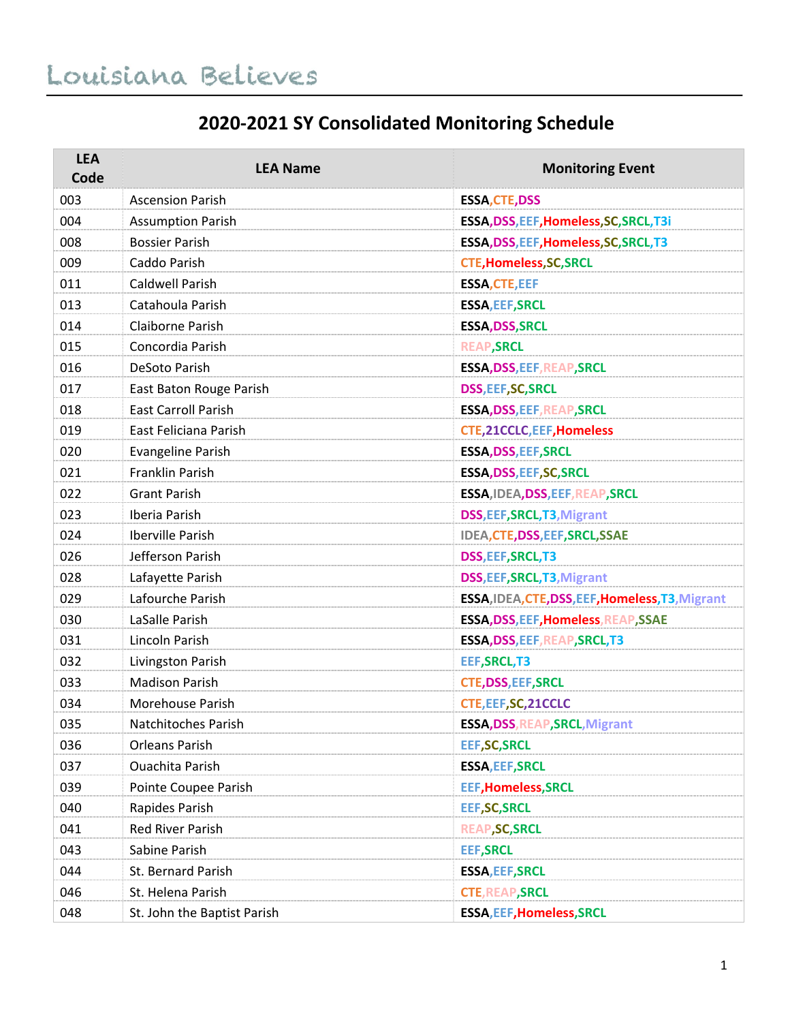#### **2020-2021 SY Consolidated Monitoring Schedule**

| <b>LEA</b><br>Code | <b>LEA Name</b>             | <b>Monitoring Event</b>                          |
|--------------------|-----------------------------|--------------------------------------------------|
| 003                | <b>Ascension Parish</b>     | <b>ESSA, CTE, DSS</b>                            |
| 004                | <b>Assumption Parish</b>    | ESSA, DSS, EEF, Homeless, SC, SRCL, T3i          |
| 008                | <b>Bossier Parish</b>       | ESSA, DSS, EEF, Homeless, SC, SRCL, T3           |
| 009                | Caddo Parish                | <b>CTE, Homeless, SC, SRCL</b>                   |
| 011                | Caldwell Parish             | <b>ESSA, CTE, EEF</b>                            |
| 013                | Catahoula Parish            | <b>ESSA, EEF, SRCL</b>                           |
| 014                | Claiborne Parish            | <b>ESSA, DSS, SRCL</b>                           |
| 015                | Concordia Parish            | <b>REAP, SRCL</b>                                |
| 016                | DeSoto Parish               | ESSA, DSS, EEF, REAP, SRCL                       |
| 017                | East Baton Rouge Parish     | <b>DSS, EEF, SC, SRCL</b>                        |
| 018                | <b>East Carroll Parish</b>  | <b>ESSA, DSS, EEF, REAP, SRCL</b>                |
| 019                | East Feliciana Parish       | <b>CTE, 21CCLC, EEF, Homeless</b>                |
| 020                | <b>Evangeline Parish</b>    | <b>ESSA, DSS, EEF, SRCL</b>                      |
| 021                | Franklin Parish             | ESSA, DSS, EEF, SC, SRCL                         |
| 022                | <b>Grant Parish</b>         | ESSA, IDEA, DSS, EEF, REAP, SRCL                 |
| 023                | Iberia Parish               | DSS, EEF, SRCL, T3, Migrant                      |
| 024                | Iberville Parish            | IDEA, CTE, DSS, EEF, SRCL, SSAE                  |
| 026                | Jefferson Parish            | DSS, EEF, SRCL, T3                               |
| 028                | Lafayette Parish            | DSS, EEF, SRCL, T3, Migrant                      |
| 029                | Lafourche Parish            | ESSA, IDEA, CTE, DSS, EEF, Homeless, T3, Migrant |
| 030                | LaSalle Parish              | ESSA, DSS, EEF, Homeless, REAP, SSAE             |
| 031                | Lincoln Parish              | ESSA, DSS, EEF, REAP, SRCL, T3                   |
| 032                | Livingston Parish           | <b>EEF, SRCL, T3</b>                             |
| 033                | <b>Madison Parish</b>       | <b>CTE, DSS, EEF, SRCL</b>                       |
| 034                | Morehouse Parish            | CTE, EEF, SC, 21CCLC                             |
| 035                | Natchitoches Parish         | <b>ESSA, DSS, REAP, SRCL, Migrant</b>            |
| 036                | Orleans Parish              | <b>EEF, SC, SRCL</b>                             |
| 037                | <b>Ouachita Parish</b>      | <b>ESSA, EEF, SRCL</b>                           |
| 039                | Pointe Coupee Parish        | <b>EEF, Homeless, SRCL</b>                       |
| 040                | Rapides Parish              | <b>EEF, SC, SRCL</b>                             |
| 041                | <b>Red River Parish</b>     | <b>REAP, SC, SRCL</b>                            |
| 043                | Sabine Parish               | <b>EEF, SRCL</b>                                 |
| 044                | St. Bernard Parish          | <b>ESSA, EEF, SRCL</b>                           |
| 046                | St. Helena Parish           | <b>CTE, REAP, SRCL</b>                           |
| 048                | St. John the Baptist Parish | <b>ESSA, EEF, Homeless, SRCL</b>                 |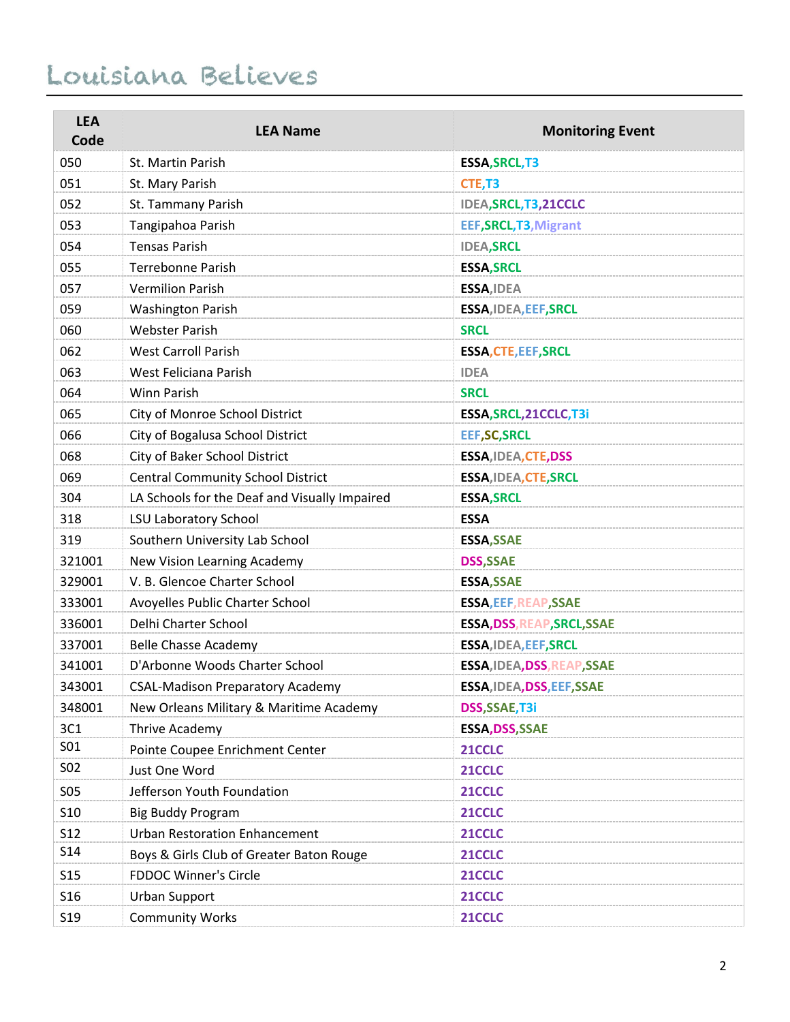| <b>LEA</b><br>Code | <b>LEA Name</b>                               | <b>Monitoring Event</b>      |
|--------------------|-----------------------------------------------|------------------------------|
|                    | St. Martin Parish                             |                              |
| 050                |                                               | <b>ESSA, SRCL, T3</b>        |
| 051                | St. Mary Parish                               | CTE, T3                      |
| 052                | St. Tammany Parish                            | IDEA, SRCL, T3, 21 CCLC      |
| 053                | Tangipahoa Parish                             | EEF, SRCL, T3, Migrant       |
| 054                | <b>Tensas Parish</b>                          | <b>IDEA, SRCL</b>            |
| 055                | Terrebonne Parish                             | <b>ESSA, SRCL</b>            |
| 057                | <b>Vermilion Parish</b>                       | ESSA, IDEA                   |
| 059                | <b>Washington Parish</b>                      | ESSA, IDEA, EEF, SRCL        |
| 060                | <b>Webster Parish</b>                         | <b>SRCL</b>                  |
| 062                | <b>West Carroll Parish</b>                    | <b>ESSA, CTE, EEF, SRCL</b>  |
| 063                | West Feliciana Parish                         | <b>IDEA</b>                  |
| 064                | Winn Parish                                   | <b>SRCL</b>                  |
| 065                | City of Monroe School District                | ESSA, SRCL, 21CCLC, T3i      |
| 066                | City of Bogalusa School District              | <b>EEF, SC, SRCL</b>         |
| 068                | City of Baker School District                 | ESSA, IDEA, CTE, DSS         |
| 069                | <b>Central Community School District</b>      | <b>ESSA, IDEA, CTE, SRCL</b> |
| 304                | LA Schools for the Deaf and Visually Impaired | <b>ESSA, SRCL</b>            |
| 318                | <b>LSU Laboratory School</b>                  | <b>ESSA</b>                  |
| 319                | Southern University Lab School                | <b>ESSA, SSAE</b>            |
| 321001             | New Vision Learning Academy                   | <b>DSS, SSAE</b>             |
| 329001             | V. B. Glencoe Charter School                  | <b>ESSA, SSAE</b>            |
| 333001             | Avoyelles Public Charter School               | <b>ESSA, EEF, REAP, SSAE</b> |
| 336001             | Delhi Charter School                          | ESSA, DSS, REAP, SRCL, SSAE  |
| 337001             | <b>Belle Chasse Academy</b>                   | ESSA, IDEA, EEF, SRCL        |
| 341001             | D'Arbonne Woods Charter School                | ESSA, IDEA, DSS, REAP, SSAE  |
| 343001             | <b>CSAL-Madison Preparatory Academy</b>       | ESSA, IDEA, DSS, EEF, SSAE   |
| 348001             | New Orleans Military & Maritime Academy       | DSS, SSAE, T3i               |
| 3C1                | Thrive Academy                                | ESSA, DSS, SSAE              |
| S01                | Pointe Coupee Enrichment Center               | 21CCLC                       |
| S02                | Just One Word                                 | 21CCLC                       |
| <b>SO5</b>         | Jefferson Youth Foundation                    | 21CCLC                       |
| S <sub>10</sub>    | <b>Big Buddy Program</b>                      | 21CCLC                       |
| <b>S12</b>         | <b>Urban Restoration Enhancement</b>          | 21CCLC                       |
| S <sub>14</sub>    | Boys & Girls Club of Greater Baton Rouge      | 21CCLC                       |
| <b>S15</b>         | <b>FDDOC Winner's Circle</b>                  | 21CCLC                       |
| S <sub>16</sub>    | <b>Urban Support</b>                          | 21CCLC                       |
| S <sub>19</sub>    | <b>Community Works</b>                        | 21CCLC                       |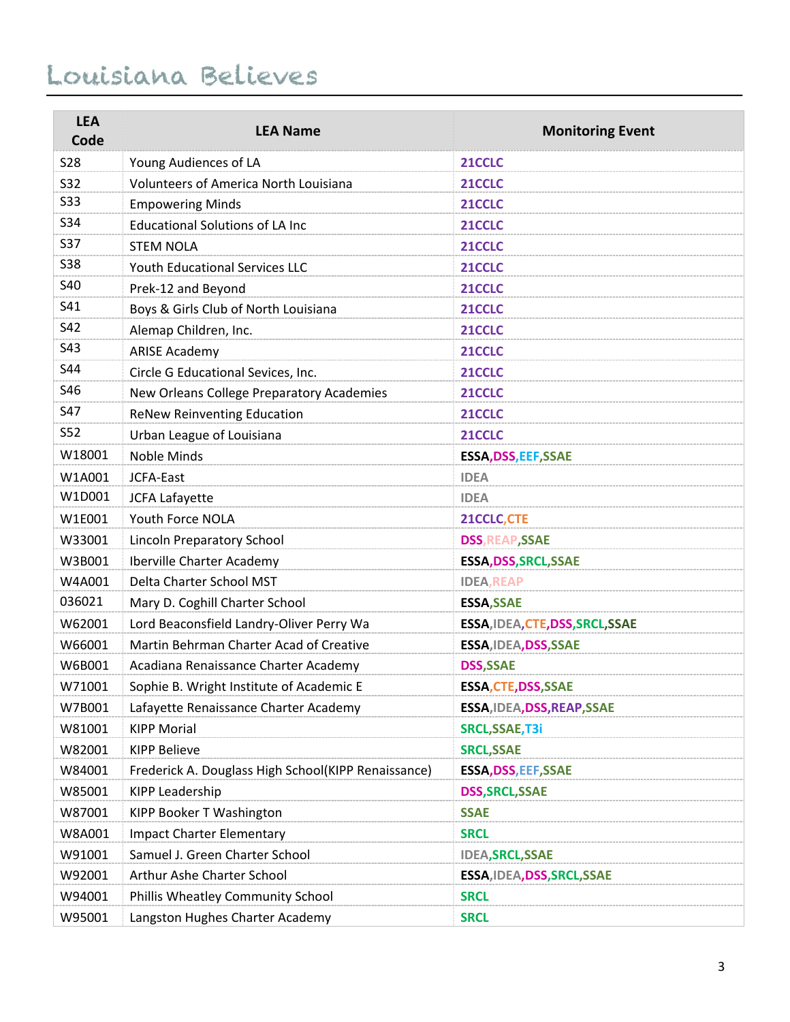| <b>LEA</b><br>Code | <b>LEA Name</b>                                     | <b>Monitoring Event</b>          |
|--------------------|-----------------------------------------------------|----------------------------------|
| <b>S28</b>         | Young Audiences of LA                               | 21CCLC                           |
| <b>S32</b>         | <b>Volunteers of America North Louisiana</b>        | 21CCLC                           |
| <b>S33</b>         | <b>Empowering Minds</b>                             | 21CCLC                           |
| S34                | <b>Educational Solutions of LA Inc</b>              | 21CCLC                           |
| <b>S37</b>         | <b>STEM NOLA</b>                                    | 21CCLC                           |
| <b>S38</b>         | Youth Educational Services LLC                      | 21CCLC                           |
| <b>S40</b>         | Prek-12 and Beyond                                  | 21CCLC                           |
| S41                | Boys & Girls Club of North Louisiana                | 21CCLC                           |
| S42                | Alemap Children, Inc.                               | 21CCLC                           |
| S43                | <b>ARISE Academy</b>                                | 21CCLC                           |
| S44                | Circle G Educational Sevices, Inc.                  | 21CCLC                           |
| S46                | New Orleans College Preparatory Academies           | 21CCLC                           |
| <b>S47</b>         | <b>ReNew Reinventing Education</b>                  | 21CCLC                           |
| S52                | Urban League of Louisiana                           | 21CCLC                           |
| W18001             | Noble Minds                                         | <b>ESSA, DSS, EEF, SSAE</b>      |
| W1A001             | JCFA-East                                           | <b>IDEA</b>                      |
| W1D001             | <b>JCFA Lafayette</b>                               | <b>IDEA</b>                      |
| W1E001             | Youth Force NOLA                                    | 21CCLC, CTE                      |
| W33001             | Lincoln Preparatory School                          | <b>DSS, REAP, SSAE</b>           |
| W3B001             | Iberville Charter Academy                           | <b>ESSA, DSS, SRCL, SSAE</b>     |
| W4A001             | Delta Charter School MST                            | <b>IDEA, REAP</b>                |
| 036021             | Mary D. Coghill Charter School                      | <b>ESSA, SSAE</b>                |
| W62001             | Lord Beaconsfield Landry-Oliver Perry Wa            | ESSA, IDEA, CTE, DSS, SRCL, SSAE |
| W66001             | Martin Behrman Charter Acad of Creative             | ESSA, IDEA, DSS, SSAE            |
| W6B001             | Acadiana Renaissance Charter Academy                | <b>DSS, SSAE</b>                 |
| W71001             | Sophie B. Wright Institute of Academic E            | <b>ESSA, CTE, DSS, SSAE</b>      |
| W7B001             | Lafayette Renaissance Charter Academy               | ESSA, IDEA, DSS, REAP, SSAE      |
| W81001             | <b>KIPP Morial</b>                                  | SRCL, SSAE, T3i                  |
| W82001             | <b>KIPP Believe</b>                                 | <b>SRCL, SSAE</b>                |
| W84001             | Frederick A. Douglass High School(KIPP Renaissance) | <b>ESSA, DSS, EEF, SSAE</b>      |
| W85001             | KIPP Leadership                                     | <b>DSS, SRCL, SSAE</b>           |
| W87001             | KIPP Booker T Washington                            | <b>SSAE</b>                      |
| W8A001             | <b>Impact Charter Elementary</b>                    | <b>SRCL</b>                      |
| W91001             | Samuel J. Green Charter School                      | <b>IDEA, SRCL, SSAE</b>          |
| W92001             | Arthur Ashe Charter School                          | ESSA, IDEA, DSS, SRCL, SSAE      |
| W94001             | Phillis Wheatley Community School                   | <b>SRCL</b>                      |
| W95001             | Langston Hughes Charter Academy                     | <b>SRCL</b>                      |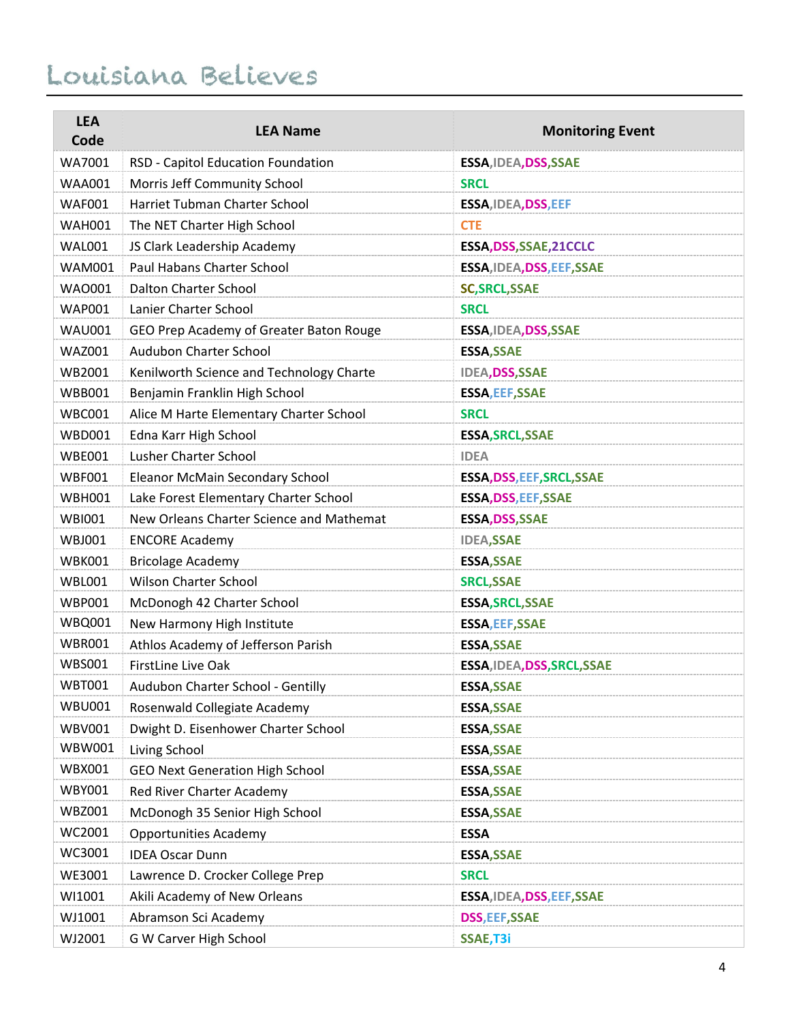| <b>LEA</b><br>Code | <b>LEA Name</b>                          | <b>Monitoring Event</b>     |
|--------------------|------------------------------------------|-----------------------------|
| WA7001             | RSD - Capitol Education Foundation       | ESSA, IDEA, DSS, SSAE       |
| <b>WAA001</b>      | Morris Jeff Community School             | <b>SRCL</b>                 |
| <b>WAF001</b>      | Harriet Tubman Charter School            | ESSA, IDEA, DSS, EEF        |
| <b>WAH001</b>      | The NET Charter High School              | <b>CTE</b>                  |
| <b>WAL001</b>      | JS Clark Leadership Academy              | ESSA, DSS, SSAE, 21 CCLC    |
| <b>WAM001</b>      | Paul Habans Charter School               | ESSA, IDEA, DSS, EEF, SSAE  |
| WA0001             | <b>Dalton Charter School</b>             | <b>SC, SRCL, SSAE</b>       |
| <b>WAP001</b>      | Lanier Charter School                    | <b>SRCL</b>                 |
| <b>WAU001</b>      | GEO Prep Academy of Greater Baton Rouge  | ESSA, IDEA, DSS, SSAE       |
| <b>WAZ001</b>      | Audubon Charter School                   | <b>ESSA, SSAE</b>           |
| WB2001             | Kenilworth Science and Technology Charte | <b>IDEA, DSS, SSAE</b>      |
| <b>WBB001</b>      | Benjamin Franklin High School            | <b>ESSA, EEF, SSAE</b>      |
| <b>WBC001</b>      | Alice M Harte Elementary Charter School  | <b>SRCL</b>                 |
| <b>WBD001</b>      | Edna Karr High School                    | <b>ESSA, SRCL, SSAE</b>     |
| <b>WBE001</b>      | Lusher Charter School                    | <b>IDEA</b>                 |
| <b>WBF001</b>      | Eleanor McMain Secondary School          | ESSA, DSS, EEF, SRCL, SSAE  |
| <b>WBH001</b>      | Lake Forest Elementary Charter School    | ESSA, DSS, EEF, SSAE        |
| <b>WBI001</b>      | New Orleans Charter Science and Mathemat | ESSA, DSS, SSAE             |
| <b>WBJ001</b>      | <b>ENCORE Academy</b>                    | <b>IDEA,SSAE</b>            |
| <b>WBK001</b>      | <b>Bricolage Academy</b>                 | <b>ESSA, SSAE</b>           |
| <b>WBL001</b>      | <b>Wilson Charter School</b>             | <b>SRCL, SSAE</b>           |
| <b>WBP001</b>      | McDonogh 42 Charter School               | <b>ESSA, SRCL, SSAE</b>     |
| <b>WBQ001</b>      | New Harmony High Institute               | <b>ESSA, EEF, SSAE</b>      |
| <b>WBR001</b>      | Athlos Academy of Jefferson Parish       | <b>ESSA, SSAE</b>           |
| <b>WBS001</b>      | FirstLine Live Oak                       | ESSA, IDEA, DSS, SRCL, SSAE |
| <b>WBT001</b>      | Audubon Charter School - Gentilly        | <b>ESSA, SSAE</b>           |
| <b>WBU001</b>      | Rosenwald Collegiate Academy             | <b>ESSA, SSAE</b>           |
| <b>WBV001</b>      | Dwight D. Eisenhower Charter School      | <b>ESSA, SSAE</b>           |
| WBW001             | Living School                            | <b>ESSA, SSAE</b>           |
| WBX001             | <b>GEO Next Generation High School</b>   | <b>ESSA, SSAE</b>           |
| <b>WBY001</b>      | Red River Charter Academy                | <b>ESSA, SSAE</b>           |
| <b>WBZ001</b>      | McDonogh 35 Senior High School           | <b>ESSA, SSAE</b>           |
| WC2001             | <b>Opportunities Academy</b>             | <b>ESSA</b>                 |
| WC3001             | <b>IDEA Oscar Dunn</b>                   | <b>ESSA, SSAE</b>           |
| WE3001             | Lawrence D. Crocker College Prep         | <b>SRCL</b>                 |
| WI1001             | Akili Academy of New Orleans             | ESSA, IDEA, DSS, EEF, SSAE  |
| WJ1001             | Abramson Sci Academy                     | <b>DSS, EEF, SSAE</b>       |
| WJ2001             | G W Carver High School                   | SSAE, T3i                   |